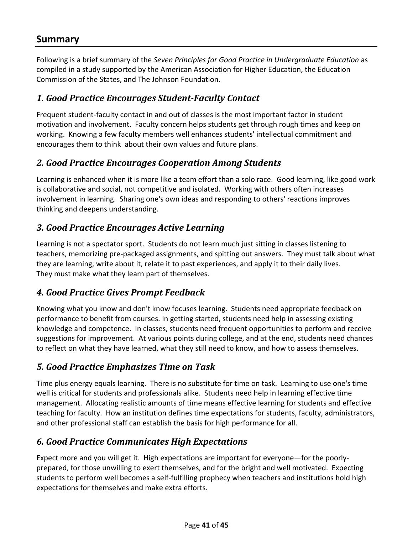### **Summary**

Following is a brief summary of the *Seven Principles for Good Practice in Undergraduate Education* as compiled in a study supported by the American Association for Higher Education, the Education Commission of the States, and The Johnson Foundation.

### *1. Good Practice Encourages StudentFaculty Contact*

Frequent student-faculty contact in and out of classes is the most important factor in student motivation and involvement. Faculty concern helps students get through rough times and keep on working. Knowing a few faculty members well enhances students' intellectual commitment and encourages them to think about their own values and future plans.

### *2. Good Practice Encourages Cooperation Among Students*

Learning is enhanced when it is more like a team effort than a solo race. Good learning, like good work is collaborative and social, not competitive and isolated. Working with others often increases involvement in learning. Sharing one's own ideas and responding to others' reactions improves thinking and deepens understanding.

# *3. Good Practice Encourages Active Learning*

Learning is not a spectator sport. Students do not learn much just sitting in classes listening to teachers, memorizing pre‐packaged assignments, and spitting out answers. They must talk about what they are learning, write about it, relate it to past experiences, and apply it to their daily lives. They must make what they learn part of themselves.

# *4. Good Practice Gives Prompt Feedback*

Knowing what you know and don't know focuses learning. Students need appropriate feedback on performance to benefit from courses. In getting started, students need help in assessing existing knowledge and competence. In classes, students need frequent opportunities to perform and receive suggestions for improvement. At various points during college, and at the end, students need chances to reflect on what they have learned, what they still need to know, and how to assess themselves.

### *5. Good Practice Emphasizes Time on Task*

Time plus energy equals learning. There is no substitute for time on task. Learning to use one's time well is critical for students and professionals alike. Students need help in learning effective time management. Allocating realistic amounts of time means effective learning for students and effective teaching for faculty. How an institution defines time expectations for students, faculty, administrators, and other professional staff can establish the basis for high performance for all.

### *6. Good Practice Communicates High Expectations*

Expect more and you will get it. High expectations are important for everyone—for the poorly‐ prepared, for those unwilling to exert themselves, and for the bright and well motivated. Expecting students to perform well becomes a self‐fulfilling prophecy when teachers and institutions hold high expectations for themselves and make extra efforts.